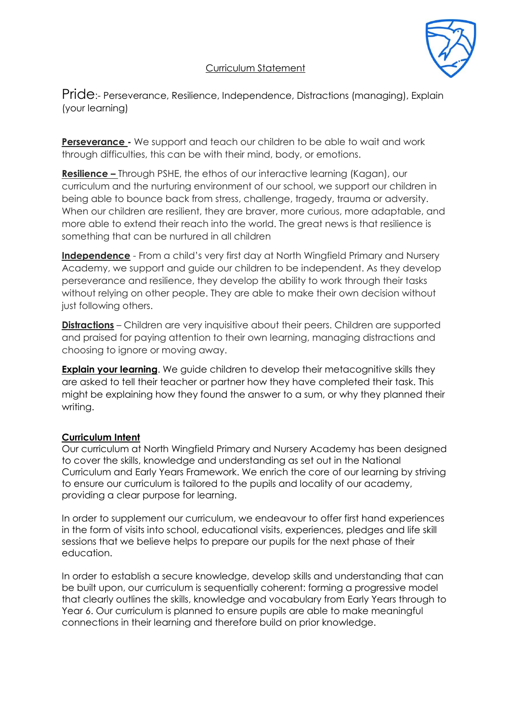# Curriculum Statement

Pride:- Perseverance, Resilience, Independence, Distractions (managing), Explain (your learning)

**Perseverance -** We support and teach our children to be able to wait and work through difficulties, this can be with their mind, body, or emotions.

**Resilience –** Through PSHE, the ethos of our interactive learning (Kagan), our curriculum and the nurturing environment of our school, we support our children in being able to bounce back from stress, challenge, tragedy, trauma or adversity. When our children are resilient, they are braver, more curious, more adaptable, and more able to extend their reach into the world. The great news is that resilience is something that can be nurtured in all children

**Independence** - From a child's very first day at North Wingfield Primary and Nursery Academy, we support and guide our children to be independent. As they develop perseverance and resilience, they develop the ability to work through their tasks without relying on other people. They are able to make their own decision without just following others.

**Distractions** – Children are very inquisitive about their peers. Children are supported and praised for paying attention to their own learning, managing distractions and choosing to ignore or moving away.

**Explain your learning**. We guide children to develop their metacognitive skills they are asked to tell their teacher or partner how they have completed their task. This might be explaining how they found the answer to a sum, or why they planned their writing.

## **Curriculum Intent**

Our curriculum at North Wingfield Primary and Nursery Academy has been designed to cover the skills, knowledge and understanding as set out in the National Curriculum and Early Years Framework. We enrich the core of our learning by striving to ensure our curriculum is tailored to the pupils and locality of our academy, providing a clear purpose for learning.

In order to supplement our curriculum, we endeavour to offer first hand experiences in the form of visits into school, educational visits, experiences, pledges and life skill sessions that we believe helps to prepare our pupils for the next phase of their education.

In order to establish a secure knowledge, develop skills and understanding that can be built upon, our curriculum is sequentially coherent: forming a progressive model that clearly outlines the skills, knowledge and vocabulary from Early Years through to Year 6. Our curriculum is planned to ensure pupils are able to make meaningful connections in their learning and therefore build on prior knowledge.